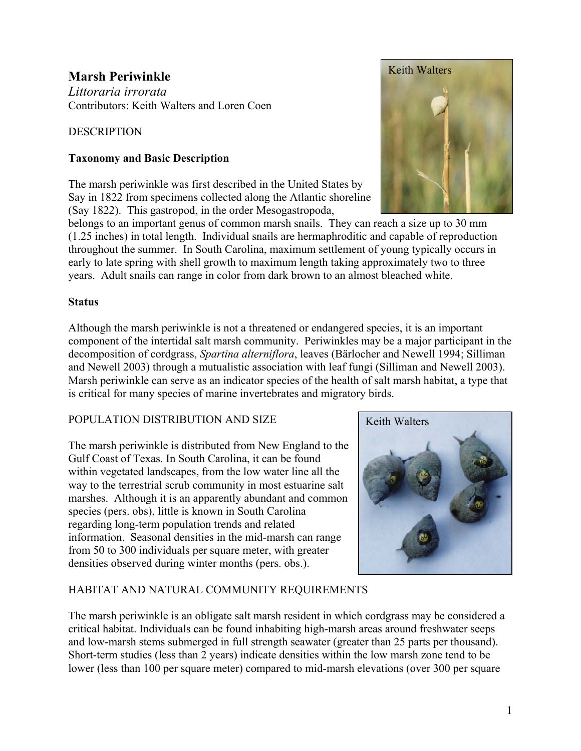# **Marsh Periwinkle**

*Littoraria irrorata*  Contributors: Keith Walters and Loren Coen

# **DESCRIPTION**

# **Taxonomy and Basic Description**

The marsh periwinkle was first described in the United States by Say in 1822 from specimens collected along the Atlantic shoreline (Say 1822). This gastropod, in the order Mesogastropoda,



belongs to an important genus of common marsh snails. They can reach a size up to 30 mm (1.25 inches) in total length. Individual snails are hermaphroditic and capable of reproduction throughout the summer. In South Carolina, maximum settlement of young typically occurs in early to late spring with shell growth to maximum length taking approximately two to three years. Adult snails can range in color from dark brown to an almost bleached white.

### **Status**

Although the marsh periwinkle is not a threatened or endangered species, it is an important component of the intertidal salt marsh community. Periwinkles may be a major participant in the decomposition of cordgrass, *Spartina alterniflora*, leaves (Bärlocher and Newell 1994; Silliman and Newell 2003) through a mutualistic association with leaf fungi (Silliman and Newell 2003). Marsh periwinkle can serve as an indicator species of the health of salt marsh habitat, a type that is critical for many species of marine invertebrates and migratory birds.

### POPULATION DISTRIBUTION AND SIZE

The marsh periwinkle is distributed from New England to the Gulf Coast of Texas. In South Carolina, it can be found within vegetated landscapes, from the low water line all the way to the terrestrial scrub community in most estuarine salt marshes. Although it is an apparently abundant and common species (pers. obs), little is known in South Carolina regarding long-term population trends and related information. Seasonal densities in the mid-marsh can range from 50 to 300 individuals per square meter, with greater densities observed during winter months (pers. obs.).



# HABITAT AND NATURAL COMMUNITY REQUIREMENTS

The marsh periwinkle is an obligate salt marsh resident in which cordgrass may be considered a critical habitat. Individuals can be found inhabiting high-marsh areas around freshwater seeps and low-marsh stems submerged in full strength seawater (greater than 25 parts per thousand). Short-term studies (less than 2 years) indicate densities within the low marsh zone tend to be lower (less than 100 per square meter) compared to mid-marsh elevations (over 300 per square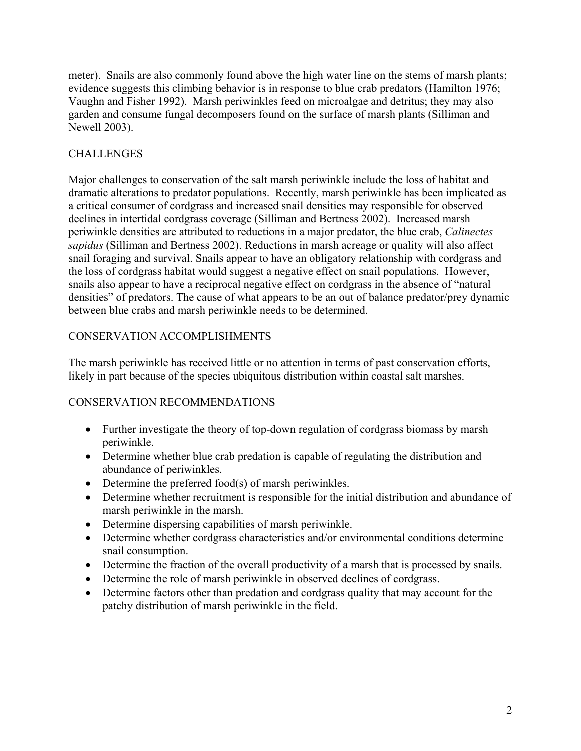meter). Snails are also commonly found above the high water line on the stems of marsh plants; evidence suggests this climbing behavior is in response to blue crab predators (Hamilton 1976; Vaughn and Fisher 1992). Marsh periwinkles feed on microalgae and detritus; they may also garden and consume fungal decomposers found on the surface of marsh plants (Silliman and Newell 2003).

# CHALLENGES

Major challenges to conservation of the salt marsh periwinkle include the loss of habitat and dramatic alterations to predator populations. Recently, marsh periwinkle has been implicated as a critical consumer of cordgrass and increased snail densities may responsible for observed declines in intertidal cordgrass coverage (Silliman and Bertness 2002). Increased marsh periwinkle densities are attributed to reductions in a major predator, the blue crab, *Calinectes sapidus* (Silliman and Bertness 2002). Reductions in marsh acreage or quality will also affect snail foraging and survival. Snails appear to have an obligatory relationship with cordgrass and the loss of cordgrass habitat would suggest a negative effect on snail populations. However, snails also appear to have a reciprocal negative effect on cordgrass in the absence of "natural densities" of predators. The cause of what appears to be an out of balance predator/prey dynamic between blue crabs and marsh periwinkle needs to be determined.

# CONSERVATION ACCOMPLISHMENTS

The marsh periwinkle has received little or no attention in terms of past conservation efforts, likely in part because of the species ubiquitous distribution within coastal salt marshes.

### CONSERVATION RECOMMENDATIONS

- Further investigate the theory of top-down regulation of cordgrass biomass by marsh periwinkle.
- Determine whether blue crab predation is capable of regulating the distribution and abundance of periwinkles.
- Determine the preferred food(s) of marsh periwinkles.
- Determine whether recruitment is responsible for the initial distribution and abundance of marsh periwinkle in the marsh.
- Determine dispersing capabilities of marsh periwinkle.
- Determine whether cordgrass characteristics and/or environmental conditions determine snail consumption.
- Determine the fraction of the overall productivity of a marsh that is processed by snails.
- Determine the role of marsh periwinkle in observed declines of cordgrass.
- Determine factors other than predation and cordgrass quality that may account for the patchy distribution of marsh periwinkle in the field.